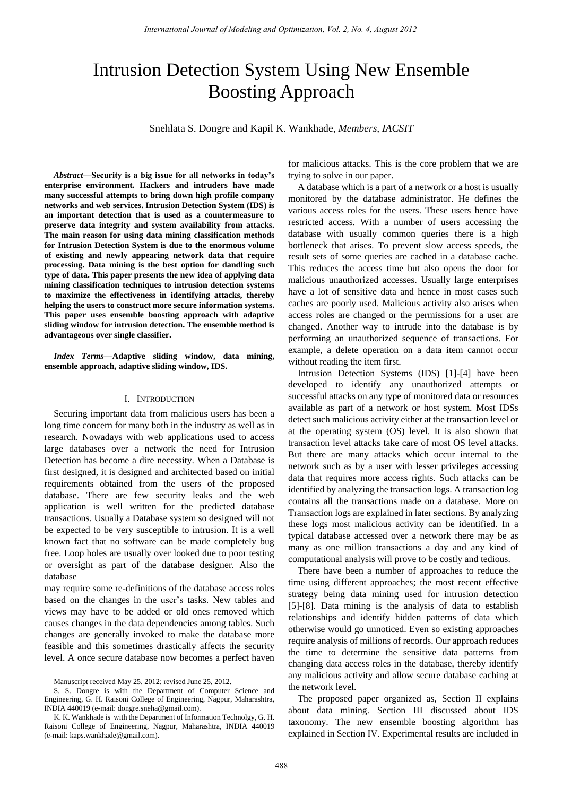# Intrusion Detection System Using New Ensemble Boosting Approach

Snehlata S. Dongre and Kapil K. Wankhade, *Members, IACSIT*

*Abstract***—Security is a big issue for all networks in today's enterprise environment. Hackers and intruders have made many successful attempts to bring down high profile company networks and web services. Intrusion Detection System (IDS) is an important detection that is used as a countermeasure to preserve data integrity and system availability from attacks. The main reason for using data mining classification methods for Intrusion Detection System is due to the enormous volume of existing and newly appearing network data that require processing. Data mining is the best option for dandling such type of data. This paper presents the new idea of applying data mining classification techniques to intrusion detection systems to maximize the effectiveness in identifying attacks, thereby helping the users to construct more secure information systems. This paper uses ensemble boosting approach with adaptive sliding window for intrusion detection. The ensemble method is advantageous over single classifier.** 

*Index Terms***—Adaptive sliding window, data mining, ensemble approach, adaptive sliding window, IDS.** 

#### I. INTRODUCTION

Securing important data from malicious users has been a long time concern for many both in the industry as well as in research. Nowadays with web applications used to access large databases over a network the need for Intrusion Detection has become a dire necessity. When a Database is first designed, it is designed and architected based on initial requirements obtained from the users of the proposed database. There are few security leaks and the web application is well written for the predicted database transactions. Usually a Database system so designed will not be expected to be very susceptible to intrusion. It is a well known fact that no software can be made completely bug free. Loop holes are usually over looked due to poor testing or oversight as part of the database designer. Also the database

may require some re-definitions of the database access roles based on the changes in the user's tasks. New tables and views may have to be added or old ones removed which causes changes in the data dependencies among tables. Such changes are generally invoked to make the database more feasible and this sometimes drastically affects the security level. A once secure database now becomes a perfect haven

S. S. Dongre is with the Department of Computer Science and Engineering, G. H. Raisoni College of Engineering, Nagpur, Maharashtra, INDIA 440019 (e-mail: dongre.sneha@gmail.com).

K. K. Wankhade is with the Department of Information Technolgy, G. H. Raisoni College of Engineering, Nagpur, Maharashtra, INDIA 440019 (e-mail: kaps.wankhade@gmail.com).

for malicious attacks. This is the core problem that we are trying to solve in our paper.

A database which is a part of a network or a host is usually monitored by the database administrator. He defines the various access roles for the users. These users hence have restricted access. With a number of users accessing the database with usually common queries there is a high bottleneck that arises. To prevent slow access speeds, the result sets of some queries are cached in a database cache. This reduces the access time but also opens the door for malicious unauthorized accesses. Usually large enterprises have a lot of sensitive data and hence in most cases such caches are poorly used. Malicious activity also arises when access roles are changed or the permissions for a user are changed. Another way to intrude into the database is by performing an unauthorized sequence of transactions. For example, a delete operation on a data item cannot occur without reading the item first.

Intrusion Detection Systems (IDS) [1]-[4] have been developed to identify any unauthorized attempts or successful attacks on any type of monitored data or resources available as part of a network or host system. Most IDSs detect such malicious activity either at the transaction level or at the operating system (OS) level. It is also shown that transaction level attacks take care of most OS level attacks. But there are many attacks which occur internal to the network such as by a user with lesser privileges accessing data that requires more access rights. Such attacks can be identified by analyzing the transaction logs. A transaction log contains all the transactions made on a database. More on Transaction logs are explained in later sections. By analyzing these logs most malicious activity can be identified. In a typical database accessed over a network there may be as many as one million transactions a day and any kind of computational analysis will prove to be costly and tedious.

There have been a number of approaches to reduce the time using different approaches; the most recent effective strategy being data mining used for intrusion detection [5]-[8]. Data mining is the analysis of data to establish relationships and identify hidden patterns of data which otherwise would go unnoticed. Even so existing approaches require analysis of millions of records. Our approach reduces the time to determine the sensitive data patterns from changing data access roles in the database, thereby identify any malicious activity and allow secure database caching at the network level.

The proposed paper organized as, Section II explains about data mining. Section III discussed about IDS taxonomy. The new ensemble boosting algorithm has explained in Section IV. Experimental results are included in

Manuscript received May 25, 2012; revised June 25, 2012.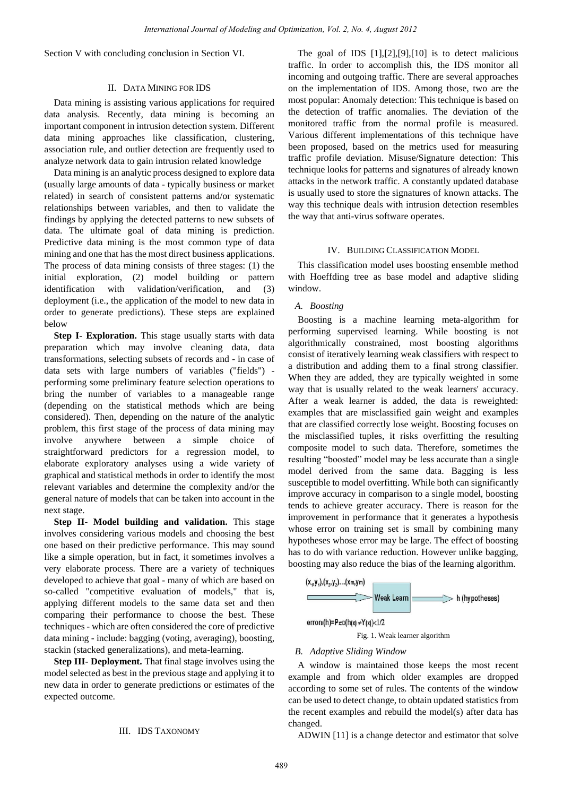Section V with concluding conclusion in Section VI.

#### II. DATA MINING FOR IDS

Data mining is assisting various applications for required data analysis. Recently, data mining is becoming an important component in intrusion detection system. Different data mining approaches like classification, clustering, association rule, and outlier detection are frequently used to analyze network data to gain intrusion related knowledge

Data mining is an analytic process designed to explore data (usually large amounts of data - typically business or market related) in search of consistent patterns and/or systematic relationships between variables, and then to validate the findings by applying the detected patterns to new subsets of data. The ultimate goal of data mining is prediction. Predictive data mining is the most common type of data mining and one that has the most direct business applications. The process of data mining consists of three stages: (1) the initial exploration, (2) model building or pattern identification with validation/verification, and (3) deployment (i.e., the application of the model to new data in order to generate predictions). These steps are explained below

**Step I- Exploration.** This stage usually starts with data preparation which may involve cleaning data, data transformations, selecting subsets of records and - in case of data sets with large numbers of variables ("fields") performing some preliminary feature selection operations to bring the number of variables to a manageable range (depending on the statistical methods which are being considered). Then, depending on the nature of the analytic problem, this first stage of the process of data mining may involve anywhere between a simple choice of straightforward predictors for a regression model, to elaborate exploratory analyses using a wide variety of graphical and statistical methods in order to identify the most relevant variables and determine the complexity and/or the general nature of models that can be taken into account in the next stage.

**Step II- Model building and validation.** This stage involves considering various models and choosing the best one based on their predictive performance. This may sound like a simple operation, but in fact, it sometimes involves a very elaborate process. There are a variety of techniques developed to achieve that goal - many of which are based on so-called "competitive evaluation of models," that is, applying different models to the same data set and then comparing their performance to choose the best. These techniques - which are often considered the core of predictive data mining - include: bagging (voting, averaging), boosting, stackin (stacked generalizations), and meta-learning.

**Step III- Deployment.** That final stage involves using the model selected as best in the previous stage and applying it to new data in order to generate predictions or estimates of the expected outcome.

# III. IDS TAXONOMY

The goal of IDS  $[1]$ , $[2]$ , $[9]$ , $[10]$  is to detect malicious traffic. In order to accomplish this, the IDS monitor all incoming and outgoing traffic. There are several approaches on the implementation of IDS. Among those, two are the most popular: Anomaly detection: This technique is based on the detection of traffic anomalies. The deviation of the monitored traffic from the normal profile is measured. Various different implementations of this technique have been proposed, based on the metrics used for measuring traffic profile deviation. Misuse/Signature detection: This technique looks for patterns and signatures of already known attacks in the network traffic. A constantly updated database is usually used to store the signatures of known attacks. The way this technique deals with intrusion detection resembles the way that anti-virus software operates.

#### IV. BUILDING CLASSIFICATION MODEL

This classification model uses boosting ensemble method with Hoeffding tree as base model and adaptive sliding window.

# *A. Boosting*

Boosting is a machine learning meta-algorithm for performing supervised learning. While boosting is not algorithmically constrained, most boosting algorithms consist of iteratively learning weak classifiers with respect to a distribution and adding them to a final strong classifier. When they are added, they are typically weighted in some way that is usually related to the weak learners' accuracy. After a weak learner is added, the data is reweighted: examples that are misclassified gain weight and examples that are classified correctly lose weight. Boosting focuses on the misclassified tuples, it risks overfitting the resulting composite model to such data. Therefore, sometimes the resulting "boosted" model may be less accurate than a single model derived from the same data. Bagging is less susceptible to model overfitting. While both can significantly improve accuracy in comparison to a single model, boosting tends to achieve greater accuracy. There is reason for the improvement in performance that it generates a hypothesis whose error on training set is small by combining many hypotheses whose error may be large. The effect of boosting has to do with variance reduction. However unlike bagging, boosting may also reduce the bias of the learning algorithm.



Fig. 1. Weak learner algorithm

#### *B. Adaptive Sliding Window*

A window is maintained those keeps the most recent example and from which older examples are dropped according to some set of rules. The contents of the window can be used to detect change, to obtain updated statistics from the recent examples and rebuild the model(s) after data has changed.

ADWIN [11] is a change detector and estimator that solve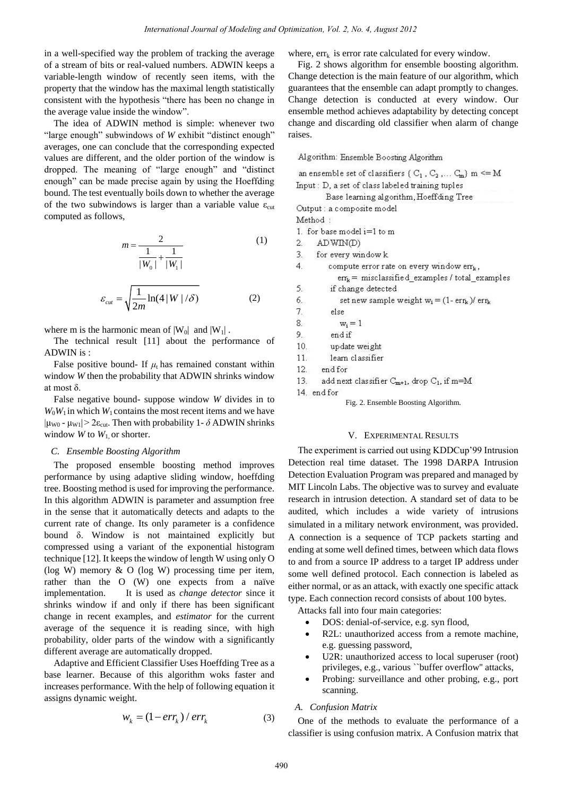in a well-specified way the problem of tracking the average of a stream of bits or real-valued numbers. ADWIN keeps a variable-length window of recently seen items, with the property that the window has the maximal length statistically consistent with the hypothesis "there has been no change in the average value inside the window".

The idea of ADWIN method is simple: whenever two "large enough" subwindows of *W* exhibit "distinct enough" averages, one can conclude that the corresponding expected values are different, and the older portion of the window is dropped. The meaning of "large enough" and "distinct enough" can be made precise again by using the Hoeffding bound. The test eventually boils down to whether the average of the two subwindows is larger than a variable value  $\varepsilon_{\text{cut}}$ computed as follows,

$$
m = \frac{2}{\frac{1}{|W_0|} + \frac{1}{|W_1|}}
$$
(1)

$$
\varepsilon_{\rm cut} = \sqrt{\frac{1}{2m} \ln(4|W|/\delta)}
$$
 (2)

where m is the harmonic mean of  $|W_0|$  and  $|W_1|$ .

The technical result [11] about the performance of ADWIN is :

False positive bound- If  $\mu$ <sub>t</sub> has remained constant within window *W* then the probability that ADWIN shrinks window at most δ.

False negative bound- suppose window *W* divides in to  $W_0W_1$  in which  $W_1$  contains the most recent items and we have  $|\mu_{W0} - \mu_{W1}| > 2\varepsilon_{cut}$ . Then with probability 1-  $\delta$  ADWIN shrinks window *W* to  $W_1$  or shorter.

#### *C. Ensemble Boosting Algorithm*

The proposed ensemble boosting method improves performance by using adaptive sliding window, hoeffding tree. Boosting method is used for improving the performance. In this algorithm ADWIN is parameter and assumption free in the sense that it automatically detects and adapts to the current rate of change. Its only parameter is a confidence bound δ. Window is not maintained explicitly but compressed using a variant of the exponential histogram technique [12]. It keeps the window of length W using only O (log W) memory & O (log W) processing time per item, rather than the O  $(W)$  one expects from a naïve implementation. It is used as *change detector* since it shrinks window if and only if there has been significant change in recent examples, and *estimator* for the current average of the sequence it is reading since, with high probability, older parts of the window with a significantly different average are automatically dropped.

Adaptive and Efficient Classifier Uses Hoeffding Tree as a base learner. Because of this algorithm woks faster and increases performance. With the help of following equation it assigns dynamic weight.

$$
w_k = (1 - err_k) / err_k \tag{3}
$$

where,  $err_k$  is error rate calculated for every window.

Fig. 2 shows algorithm for ensemble boosting algorithm. Change detection is the main feature of our algorithm, which guarantees that the ensemble can adapt promptly to changes. Change detection is conducted at every window. Our ensemble method achieves adaptability by detecting concept change and discarding old classifier when alarm of change raises.

Algorithm: Ensemble Boosting Algorithm

an ensemble set of classifiers ( $C_1$ ,  $C_2$ ,...  $C_m$ ) m <= M Input: D, a set of class labeled training tuples

Base learning algorithm, Hoeffding Tree Output : a composite model

Method:

1. for base model  $i=1$  to m

ADWIN(D)  $\overline{2}$ 

- 3. for every window k
- $\overline{4}$ compute error rate on every window errk,  $\text{err}_{k}$  = misclassified\_examples / total\_examples
- 5. if change detected
- 6. set new sample weight  $w_i = (1 - err_k)/\,err_k$
- 7. else
- 8.  $w_i = 1$
- 9. endif
- $10.$ update weight
- $11.$ learn classifier

12. end for

13. add next classifier C<sub>m+1</sub>, drop C<sub>1</sub>, if m=M

14. end for

Fig. 2. Ensemble Boosting Algorithm.

#### V. EXPERIMENTAL RESULTS

The experiment is carried out using KDDCup'99 Intrusion Detection real time dataset. The 1998 DARPA Intrusion Detection Evaluation Program was prepared and managed by MIT Lincoln Labs. The objective was to survey and evaluate research in intrusion detection. A standard set of data to be audited, which includes a wide variety of intrusions simulated in a military network environment, was provided. A connection is a sequence of TCP packets starting and ending at some well defined times, between which data flows to and from a source IP address to a target IP address under some well defined protocol. Each connection is labeled as either normal, or as an attack, with exactly one specific attack type. Each connection record consists of about 100 bytes.

Attacks fall into four main categories:

- DOS: denial-of-service, e.g. syn flood,
- R2L: unauthorized access from a remote machine, e.g. guessing password,
- U2R: unauthorized access to local superuser (root) privileges, e.g., various ``buffer overflow'' attacks,
- Probing: surveillance and other probing, e.g., port scanning.

#### *A. Confusion Matrix*

One of the methods to evaluate the performance of a classifier is using confusion matrix. A Confusion matrix that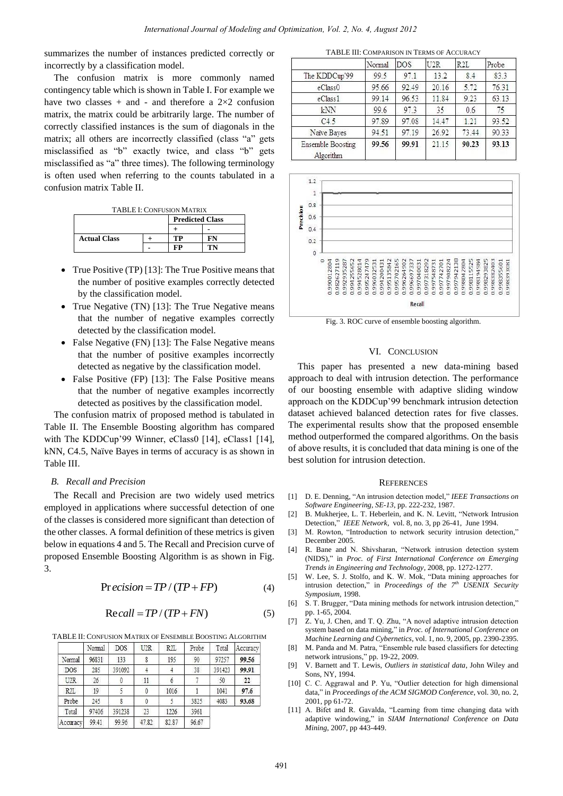summarizes the number of instances predicted correctly or incorrectly by a classification model.

The confusion matrix is more commonly named contingency table which is shown in Table I. For example we have two classes + and - and therefore a  $2\times 2$  confusion matrix, the matrix could be arbitrarily large. The number of correctly classified instances is the sum of diagonals in the matrix; all others are incorrectly classified (class "a" gets misclassified as "b" exactly twice, and class "b" gets misclassified as "a" three times). The following terminology is often used when referring to the counts tabulated in a confusion matrix Table II.

TABLE I: CONFUSION MATRIX

|                     | <b>Predicted Class</b> |  |
|---------------------|------------------------|--|
|                     |                        |  |
| <b>Actual Class</b> | TP                     |  |
|                     |                        |  |

- True Positive (TP) [13]: The True Positive means that the number of positive examples correctly detected by the classification model.
- True Negative (TN) [13]: The True Negative means that the number of negative examples correctly detected by the classification model.
- False Negative (FN) [13]: The False Negative means that the number of positive examples incorrectly detected as negative by the classification model.
- False Positive (FP) [13]: The False Positive means that the number of negative examples incorrectly detected as positives by the classification model.

The confusion matrix of proposed method is tabulated in Table II. The Ensemble Boosting algorithm has compared with The KDDCup'99 Winner, eClass0 [14], eClass1 [14], kNN, C4.5, Na we Bayes in terms of accuracy is as shown in Table III.

# *B. Recall and Precision*

The Recall and Precision are two widely used metrics employed in applications where successful detection of one of the classes is considered more significant than detection of the other classes. A formal definition of these metrics is given below in equations 4 and 5. The Recall and Precision curve of proposed Ensemble Boosting Algorithm is as shown in Fig. 3.

$$
Precision = TP / (TP + FP)
$$
 (4)

$$
Recall = TP / (TP + FN)
$$
 (5)

TABLE II: CONFUSION MATRIX OF ENSEMBLE BOOSTING ALGORITHM

|                  | Normal | <b>DOS</b> | U2R   | R2L   | Probe | Total  | Accuracy |
|------------------|--------|------------|-------|-------|-------|--------|----------|
| Normal           | 96831  | 133        |       | 195   | 90    | 97257  | 99.56    |
| <b>DOS</b>       | 285    | 391092     |       |       | 38    | 391423 | 99.91    |
| U <sub>2</sub> R | 26     |            | 11    |       |       | 50     | 22       |
| R <sub>2L</sub>  | 19     |            |       | 1016  |       | 1041   | 97.6     |
| Probe            | 245    |            |       |       | 3825  | 4083   | 93.68    |
| Total            | 97406  | 391238     | 23    | 1226  | 3961  |        |          |
| Accuracy         | 99.41  | 99.96      | 47.82 | 82.87 | 96.67 |        |          |

TABLE III: COMPARISON IN TERMS OF ACCURACY

|                                | Normal | DOS   | U2R   | R2L   | Probe |
|--------------------------------|--------|-------|-------|-------|-------|
| The KDDCup'99                  | 99.5   | 97.1  | 13.2  | 8.4   | 83.3  |
| eClass0                        | 95.66  | 92.49 | 20.16 | 5.72  | 76.31 |
| eClass1                        | 99.14  | 96.53 | 11.84 | 9.23  | 63.13 |
| kNN                            | 99.6   | 97.3  | 35    | 0.6   | 75    |
| C4.5                           | 97.89  | 97.08 | 14.47 | 1.21  | 93.52 |
| Naïve Bayes                    | 94.51  | 97.19 | 26.92 | 73.44 | 90.33 |
| Ensemble Boosting<br>Algorithm | 99.56  | 99.91 | 21.15 | 90.23 | 93.13 |



Fig. 3. ROC curve of ensemble boosting algorithm.

### VI. CONCLUSION

This paper has presented a new data-mining based approach to deal with intrusion detection. The performance of our boosting ensemble with adaptive sliding window approach on the KDDCup'99 benchmark intrusion detection dataset achieved balanced detection rates for five classes. The experimental results show that the proposed ensemble method outperformed the compared algorithms. On the basis of above results, it is concluded that data mining is one of the best solution for intrusion detection.

#### **REFERENCES**

- [1] D. E. Denning, "An intrusion detection model," *IEEE Transactions on Software Engineering, SE-13*, pp. 222-232, 1987.
- [2] B. Mukherjee, L. T. Heberlein, and K. N. Levitt, "Network Intrusion Detection," *IEEE Network*, vol. 8, no. 3, pp 26-41, June 1994.
- [3] M. Rowton, "Introduction to network security intrusion detection," December 2005.
- [4] R. Bane and N. Shivsharan, "Network intrusion detection system (NIDS)," in *Proc. of First International Conference on Emerging Trends in Engineering and Technology,* 2008, pp. 1272-1277.
- [5] W. Lee, S. J. Stolfo, and K. W. Mok, "Data mining approaches for intrusion detection," in *Proceedings of the 7th USENIX Security Symposium,* 1998.
- [6] S. T. Brugger, "Data mining methods for network intrusion detection," pp. 1-65, 2004.
- [7] Z. Yu, J. Chen, and T. Q. Zhu, "A novel adaptive intrusion detection system based on data mining," in *Proc. of International Conference on Machine Learning and Cybernetics*, vol. 1, no. 9, 2005, pp. 2390-2395.
- [8] M. Panda and M. Patra, "Ensemble rule based classifiers for detecting network intrusions," pp. 19-22, 2009.
- [9] V. Barnett and T. Lewis, *Outliers in statistical data*, John Wiley and Sons, NY, 1994.
- [10] C. C. Aggrawal and P. Yu, "Outlier detection for high dimensional data," in *Proceedings of the ACM SIGMOD Conference*, vol. 30, no. 2, 2001, pp 61-72.
- [11] A. Bifet and R. Gavalda, "Learning from time changing data with adaptive windowing," in *SIAM International Conference on Data Mining*, 2007, pp 443-449.